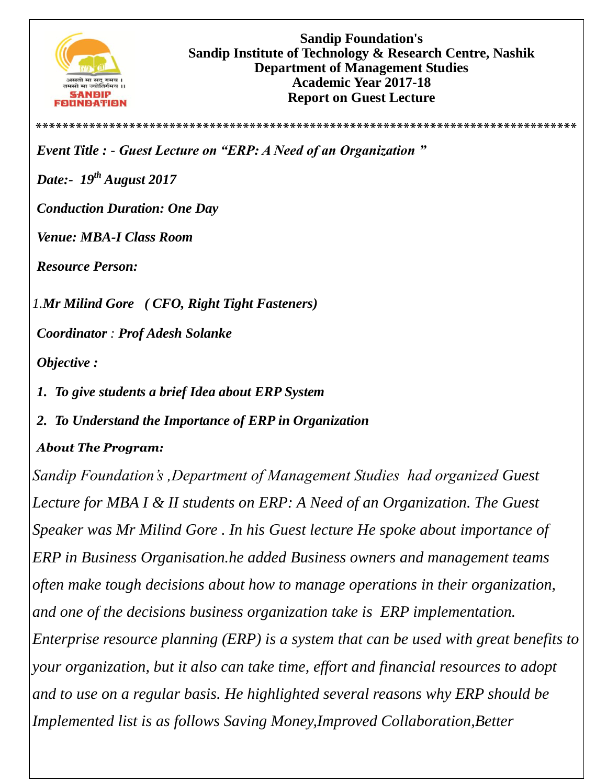

**Sandip Foundation's Sandip Institute of Technology & Research Centre, Nashik Department of Management Studies Academic Year 2017-18 Report on Guest Lecture** 

**\*\*\*\*\*\*\*\*\*\*\*\*\*\*\*\*\*\*\*\*\*\*\*\*\*\*\*\*\*\*\*\*\*\*\*\*\*\*\*\*\*\*\*\*\*\*\*\*\*\*\*\*\*\*\*\*\*\*\*\*\*\*\*\*\*\*\*\*\*\*\*\*\*\*\*\*\*\*\*\*\***

*Event Title : - Guest Lecture on "ERP: A Need of an Organization "*

*Date:- 19th August 2017*

*Conduction Duration: One Day* 

*Venue: MBA-I Class Room* 

*Resource Person:* 

*1.Mr Milind Gore ( CFO, [Right Tight Fasteners\)](http://www.rtfpl.com/)*

*Coordinator : Prof Adesh Solanke* 

*Objective :*

*1. To give students a brief Idea about ERP System*

*2. To Understand the Importance of ERP in Organization* 

## *About The Program:*

*Sandip Foundation's ,Department of Management Studies had organized Guest Lecture for MBA I & II students on ERP: A Need of an Organization. The Guest Speaker was Mr Milind Gore . In his Guest lecture He spoke about importance of ERP in Business Organisation.he added Business owners and management teams often make tough decisions about how to manage operations in their organization, and one of the decisions business organization take is ERP implementation. Enterprise resource planning (ERP) is a system that can be used with great benefits to your organization, but it also can take time, effort and financial resources to adopt and to use on a regular basis. He highlighted several reasons why ERP should be Implemented list is as follows Saving Money,Improved Collaboration,Better*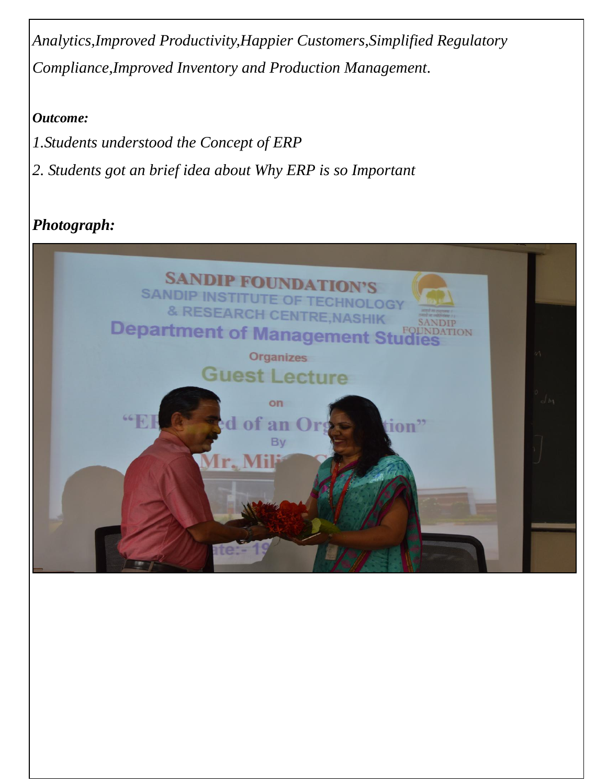*Analytics,Improved Productivity,Happier Customers,Simplified Regulatory Compliance,Improved Inventory and Production Management.*

## *Outcome:*

- *1.Students understood the Concept of ERP*
- *2. Students got an brief idea about Why ERP is so Important*

## *Photograph:*